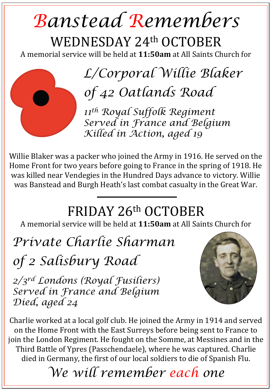## *Banstead Remembers*  WEDNESDAY 24th OCTOBER

A memorial service will be held at **11:50am** at All Saints Church for



*11th Royal Suffolk Regiment Served in France and Belgium Killed in Action, aged 19* 

Willie Blaker was a packer who joined the Army in 1916. He served on the Home Front for two years before going to France in the spring of 1918. He was killed near Vendegies in the Hundred Days advance to victory. Willie was Banstead and Burgh Heath's last combat casualty in the Great War.

## FRIDAY 26th OCTOBER

A memorial service will be held at **11:50am** at All Saints Church for

*Private Charlie Sharman* 

*of 2 Salisbury Road* 

*2/3rd Londons (Royal Fusiliers) Served in France and Belgium Died, aged 24* 



Charlie worked at a local golf club. He joined the Army in 1914 and served on the Home Front with the East Surreys before being sent to France to join the London Regiment. He fought on the Somme, at Messines and in the Third Battle of Ypres (Passchendaele), where he was captured. Charlie died in Germany, the first of our local soldiers to die of Spanish Flu.

*We will remember each one*